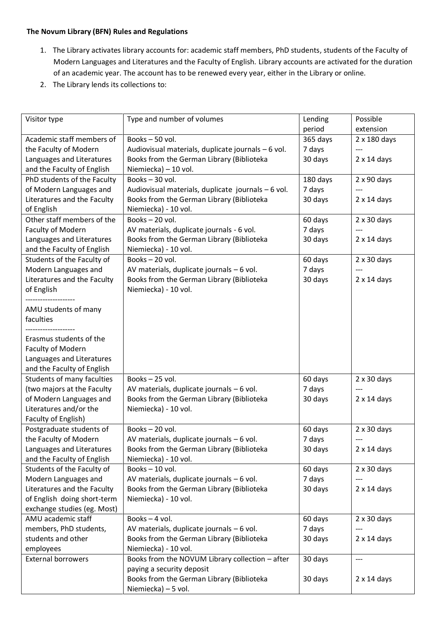## **The Novum Library (BFN) Rules and Regulations**

- 1. The Library activates library accounts for: academic staff members, PhD students, students of the Faculty of Modern Languages and Literatures and the Faculty of English. Library accounts are activated for the duration of an academic year. The account has to be renewed every year, either in the Library or online.
- 2. The Library lends its collections to:

| Visitor type                | Type and number of volumes                         | Lending  | Possible           |
|-----------------------------|----------------------------------------------------|----------|--------------------|
|                             |                                                    | period   | extension          |
| Academic staff members of   | Books-50 vol.                                      | 365 days | 2 x 180 days       |
| the Faculty of Modern       | Audiovisual materials, duplicate journals - 6 vol. | 7 days   |                    |
| Languages and Literatures   | Books from the German Library (Biblioteka          | 30 days  | $2 \times 14$ days |
| and the Faculty of English  | Niemiecka) - 10 vol.                               |          |                    |
| PhD students of the Faculty | Books-30 vol.                                      | 180 days | $2 \times 90$ days |
| of Modern Languages and     | Audiovisual materials, duplicate journals - 6 vol. | 7 days   |                    |
| Literatures and the Faculty | Books from the German Library (Biblioteka          | 30 days  | $2 \times 14$ days |
| of English                  | Niemiecka) - 10 vol.                               |          |                    |
| Other staff members of the  | Books-20 vol.                                      | 60 days  | $2 \times 30$ days |
| Faculty of Modern           | AV materials, duplicate journals - 6 vol.          | 7 days   |                    |
| Languages and Literatures   | Books from the German Library (Biblioteka          | 30 days  | $2 \times 14$ days |
| and the Faculty of English  | Niemiecka) - 10 vol.                               |          |                    |
| Students of the Faculty of  | Books-20 vol.                                      | 60 days  | $2 \times 30$ days |
| Modern Languages and        | AV materials, duplicate journals - 6 vol.          | 7 days   |                    |
| Literatures and the Faculty | Books from the German Library (Biblioteka          | 30 days  | $2 \times 14$ days |
| of English                  | Niemiecka) - 10 vol.                               |          |                    |
|                             |                                                    |          |                    |
| AMU students of many        |                                                    |          |                    |
| faculties                   |                                                    |          |                    |
|                             |                                                    |          |                    |
| Erasmus students of the     |                                                    |          |                    |
| Faculty of Modern           |                                                    |          |                    |
| Languages and Literatures   |                                                    |          |                    |
| and the Faculty of English  |                                                    |          |                    |
| Students of many faculties  | Books-25 vol.                                      | 60 days  | $2 \times 30$ days |
| (two majors at the Faculty  | AV materials, duplicate journals - 6 vol.          | 7 days   |                    |
| of Modern Languages and     | Books from the German Library (Biblioteka          | 30 days  | $2 \times 14$ days |
| Literatures and/or the      |                                                    |          |                    |
|                             | Niemiecka) - 10 vol.                               |          |                    |
| Faculty of English)         |                                                    |          |                    |
| Postgraduate students of    | Books-20 vol.                                      | 60 days  | $2 \times 30$ days |
| the Faculty of Modern       | AV materials, duplicate journals $-6$ vol.         | 7 days   | $---$              |
| Languages and Literatures   | Books from the German Library (Biblioteka          | 30 days  | $2 \times 14$ days |
| and the Faculty of English  | Niemiecka) - 10 vol.                               |          |                    |
| Students of the Faculty of  | Books-10 vol.                                      | 60 days  | $2 \times 30$ days |
| Modern Languages and        | AV materials, duplicate journals - 6 vol.          | 7 days   |                    |
| Literatures and the Faculty | Books from the German Library (Biblioteka          | 30 days  | $2 \times 14$ days |
| of English doing short-term | Niemiecka) - 10 vol.                               |          |                    |
| exchange studies (eg. Most) |                                                    |          |                    |
| AMU academic staff          | Books-4 vol.                                       | 60 days  | $2 \times 30$ days |
| members, PhD students,      | AV materials, duplicate journals - 6 vol.          | 7 days   |                    |
| students and other          | Books from the German Library (Biblioteka          | 30 days  | $2 \times 14$ days |
| employees                   | Niemiecka) - 10 vol.                               |          |                    |
| <b>External borrowers</b>   | Books from the NOVUM Library collection - after    | 30 days  | $---$              |
|                             | paying a security deposit                          |          |                    |
|                             | Books from the German Library (Biblioteka          | 30 days  | $2 \times 14$ days |
|                             | Niemiecka) - 5 vol.                                |          |                    |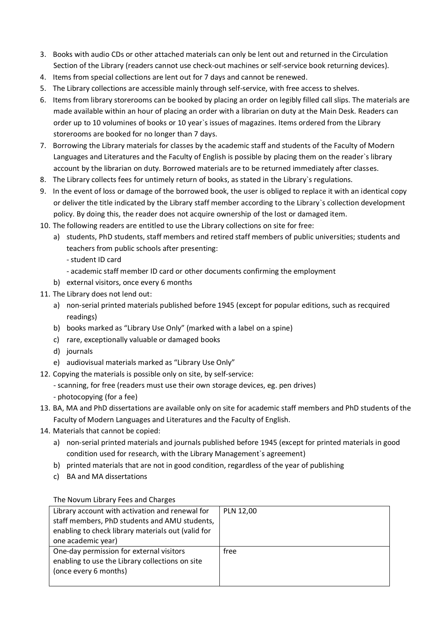- 3. Books with audio CDs or other attached materials can only be lent out and returned in the Circulation Section of the Library (readers cannot use check-out machines or self-service book returning devices).
- 4. Items from special collections are lent out for 7 days and cannot be renewed.
- 5. The Library collections are accessible mainly through self-service, with free access to shelves.
- 6. Items from library storerooms can be booked by placing an order on legibly filled call slips. The materials are made available within an hour of placing an order with a librarian on duty at the Main Desk. Readers can order up to 10 volumines of books or 10 year`s issues of magazines. Items ordered from the Library storerooms are booked for no longer than 7 days.
- 7. Borrowing the Library materials for classes by the academic staff and students of the Faculty of Modern Languages and Literatures and the Faculty of English is possible by placing them on the reader`s library account by the librarian on duty. Borrowed materials are to be returned immediately after classes.
- 8. The Library collects fees for untimely return of books, as stated in the Library`s regulations.
- 9. In the event of loss or damage of the borrowed book, the user is obliged to replace it with an identical copy or deliver the title indicated by the Library staff member according to the Library`s collection development policy. By doing this, the reader does not acquire ownership of the lost or damaged item.
- 10. The following readers are entitled to use the Library collections on site for free:
	- a) students, PhD students, staff members and retired staff members of public universities; students and teachers from public schools after presenting:
		- student ID card
		- academic staff member ID card or other documents confirming the employment
	- b) external visitors, once every 6 months
- 11. The Library does not lend out:
	- a) non-serial printed materials published before 1945 (except for popular editions, such as recquired readings)
	- b) books marked as "Library Use Only" (marked with a label on a spine)
	- c) rare, exceptionally valuable or damaged books
	- d) journals
	- e) audiovisual materials marked as "Library Use Only"
- 12. Copying the materials is possible only on site, by self-service:
	- scanning, for free (readers must use their own storage devices, eg. pen drives)
	- photocopying (for a fee)
- 13. BA, MA and PhD dissertations are available only on site for academic staff members and PhD students of the Faculty of Modern Languages and Literatures and the Faculty of English.
- 14. Materials that cannot be copied:
	- a) non-serial printed materials and journals published before 1945 (except for printed materials in good condition used for research, with the Library Management`s agreement)
	- b) printed materials that are not in good condition, regardless of the year of publishing
	- c) BA and MA dissertations

The Novum Library Fees and Charges

| Library account with activation and renewal for    | <b>PLN 12,00</b> |
|----------------------------------------------------|------------------|
| staff members, PhD students and AMU students,      |                  |
| enabling to check library materials out (valid for |                  |
| one academic year)                                 |                  |
| One-day permission for external visitors           | free             |
| enabling to use the Library collections on site    |                  |
| (once every 6 months)                              |                  |
|                                                    |                  |